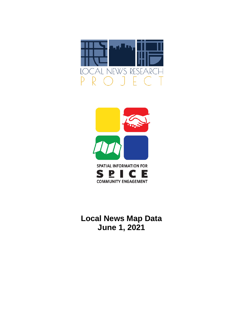



**Local News Map Data June 1, 2021**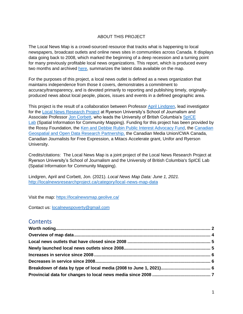#### ABOUT THIS PROJECT

The Local News Map is a crowd-sourced resource that tracks what is happening to local newspapers, broadcast outlets and online news sites in communities across Canada. It displays data going back to 2008, which marked the beginning of a deep recession and a turning point for many previously profitable local news organizations. This report, which is produced every two months and archived [here,](http://localnewsresearchproject.ca/category/local-news-map-data) summarizes the latest data available on the map.

For the purposes of this project, a local news outlet is defined as a news organization that maintains independence from those it covers, demonstrates a commitment to accuracy/transparency, and is devoted primarily to reporting and publishing timely, originallyproduced news about local people, places, issues and events in a defined geographic area.

This project is the result of a collaboration between Professor [April Lindgren,](http://rsj.journalism.ryerson.ca/team/april-lindgren/) lead investigator for the [Local News Research Project](http://localnewsresearchproject.ca/) at Ryerson University's School of Journalism and Associate Professor [Jon Corbett,](http://joncorbett.com/JonCorbett/Home.html) who leads the University of British Columbia's [SpICE](http://spice.geolive.ca/)  [Lab](http://spice.geolive.ca/) (Spatial Information for Community Mapping). Funding for this project has been provided by the Rossy Foundation, the [Ken and Debbie Rubin Public Interest Advocacy Fund,](http://kenrubin.ca/grants/) the [Canadian](http://geothink.ca/)  [Geospatial and Open Data Research Partnership,](http://geothink.ca/) the Canadian Media Union/CWA Canada, Canadian Journalists for Free Expression, a Mitacs Accelerate grant, Unifor and Ryerson University.

Credits/citations: The Local News Map is a joint project of the Local News Research Project at Ryerson University's School of Journalism and the University of British Columbia's SpICE Lab (Spatial Information for Community Mapping).

Lindgren, April and Corbett, Jon. (2021). *Local News Map Data: June 1, 2021.*  <http://localnewsresearchproject.ca/category/local-news-map-data>

Visit the map:<https://localnewsmap.geolive.ca/>

Contact us: [localnewspoverty@gmail.com](mailto:localnewspoverty@gmail.com)

### **Contents**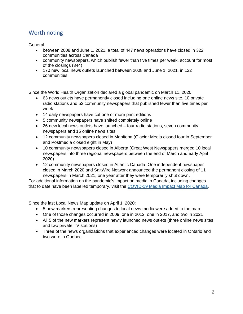# <span id="page-2-0"></span>Worth noting

<span id="page-2-1"></span>General

- between 2008 and June 1, 2021, a total of 447 news operations have closed in 322 communities across Canada
- community newspapers, which publish fewer than five times per week, account for most of the closings (344)
- 170 new local news outlets launched between 2008 and June 1, 2021, in 122 communities

Since the World Health Organization declared a global pandemic on March 11, 2020:

- 63 news outlets have permanently closed including one online news site, 10 private radio stations and 52 community newspapers that published fewer than five times per week
- 14 daily newspapers have cut one or more print editions
- 5 community newspapers have shifted completely online
- 26 new local news outlets have launched four radio stations, seven community newspapers and 15 online news sites
- 12 community newspapers closed in Manitoba (Glacier Media closed four in September and Postmedia closed eight in May)
- 10 community newspapers closed in Alberta (Great West Newspapers merged 10 local newspapers into three regional newspapers between the end of March and early April 2020)
- 12 community newspapers closed in Atlantic Canada. One independent newspaper closed in March 2020 and SaltWire Network announced the permanent closing of 11 newspapers in March 2021, one year after they were temporarily shut down.

For additional information on the pandemic's impact on media in Canada, including changes that to date have been labelled temporary, visit the [COVID-19 Media Impact Map for Canada.](https://localnewsresearchproject.ca/covid-19-media-impact-map-for-canada/)

Since the last Local News Map update on April 1, 2020:

- 5 new markers representing changes to local news media were added to the map
- One of those changes occurred in 2009, one in 2012, one in 2017, and two in 2021
- All 5 of the new markers represent newly launched news outlets (three online news sites and two private TV stations)
- Three of the news organizations that experienced changes were located in Ontario and two were in Quebec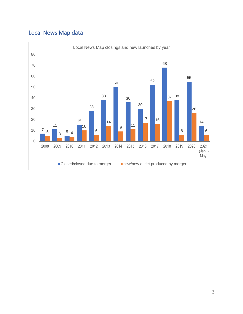# Local News Map data

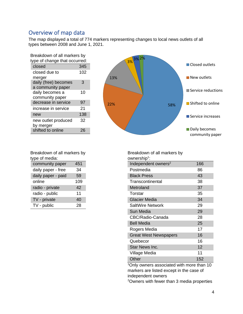### Overview of map data

The map displayed a total of 774 markers representing changes to local news outlets of all types between 2008 and June 1, 2021.

| Breakdown of all markers by |                                           |     |  |  |  |
|-----------------------------|-------------------------------------------|-----|--|--|--|
|                             | type of change that occurred:             |     |  |  |  |
|                             | closed                                    | 345 |  |  |  |
|                             | closed due to<br>merger                   | 102 |  |  |  |
|                             | daily (free) becomes<br>a community paper | 3   |  |  |  |
|                             | daily becomes a<br>community paper        | 10  |  |  |  |
|                             | decrease in service                       | 97  |  |  |  |
|                             | increase in service                       | 21  |  |  |  |
|                             | new                                       | 138 |  |  |  |
|                             | new outlet produced<br>by merger          | 32  |  |  |  |
|                             | shifted to online                         | 26  |  |  |  |
|                             |                                           |     |  |  |  |



| Breakdown of all markers by |     |  |  |
|-----------------------------|-----|--|--|
| type of media:              |     |  |  |
| community paper             | 451 |  |  |
| daily paper - free          | 34  |  |  |

| daily paper - paid | 59  |
|--------------------|-----|
| online             | 109 |
| radio - private    | 42  |
| radio - public     | 11  |
| TV - private       | 40  |
| TV - public        | 28  |

ownership<sup>1</sup>: Independent owners<sup>2</sup> 166 Postmedia 86 Black Press 43 Transcontinental 38 Metroland 37 Torstar 35 Glacier Media 34 SaltWire Network 29 Sun Media 29 CBC/Radio-Canada 28 Bell Media 25 Rogers Media 17 Great West Newspapers 16 Quebecor 16 Star News Inc. 12

Breakdown of all markers by

<sup>1</sup>Only owners associated with more than 10 markers are listed except in the case of independent owners

Village Media 11 Other 152

<sup>2</sup>Owners with fewer than 3 media properties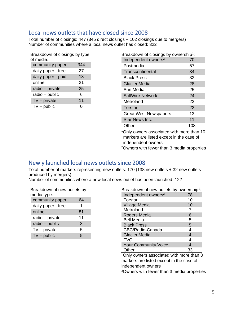### <span id="page-5-0"></span>Local news outlets that have closed since 2008

Total number of closings: 447 (345 direct closings + 102 closings due to mergers) Number of communities where a local news outlet has closed: 322

| Breakdown of closings by type |     |  |  |  |
|-------------------------------|-----|--|--|--|
| of media:                     |     |  |  |  |
| community paper               | 344 |  |  |  |
| daily paper - free            | 27  |  |  |  |
| daily paper - paid            | 13  |  |  |  |
| online                        | 21  |  |  |  |
| radio - private               | 25  |  |  |  |
| radio - public                | 6   |  |  |  |
| $TV$ – private                | 11  |  |  |  |
| $TV$ – public                 |     |  |  |  |

| Breakdown of closings by ownership <sup>1</sup> : |     |  |  |  |
|---------------------------------------------------|-----|--|--|--|
| Independent owners <sup>2</sup>                   | 70  |  |  |  |
| Postmedia                                         | 57  |  |  |  |
| Transcontinental                                  | 34  |  |  |  |
| <b>Black Press</b>                                | 32  |  |  |  |
| <b>Glacier Media</b>                              | 28  |  |  |  |
| Sun Media                                         | 25  |  |  |  |
| <b>SaltWire Network</b>                           | 24  |  |  |  |
| Metroland                                         | 23  |  |  |  |
| Torstar                                           | 22  |  |  |  |
| <b>Great West Newspapers</b>                      | 13  |  |  |  |
| Star News Inc.                                    | 11  |  |  |  |
| Other                                             | 108 |  |  |  |
| $10$ nly ownere accociated with more than $10$    |     |  |  |  |

<sup>1</sup>Only owners associated with more than 10 markers are listed except in the case of independent owners

<sup>2</sup>Owners with fewer than 3 media properties

### <span id="page-5-1"></span>Newly launched local news outlets since 2008

Total number of markers representing new outlets: 170 (138 new outlets + 32 new outlets produced by mergers)

Number of communities where a new local news outlet has been launched: 122

| Breakdown of new outlets by<br>media type: |    |  |  |  |
|--------------------------------------------|----|--|--|--|
| community paper                            | 64 |  |  |  |
| daily paper - free                         | 1  |  |  |  |
| online                                     | 81 |  |  |  |
| radio – private                            | 11 |  |  |  |
| radio - public                             | 3  |  |  |  |
| $TV$ – private                             | 5  |  |  |  |
| $TV$ – public                              | 5  |  |  |  |

| Breakdown of new outlets by ownership <sup>1</sup> : |    |
|------------------------------------------------------|----|
| Independent owners <sup>2</sup>                      | 78 |
| Torstar                                              | 10 |
| <b>Village Media</b>                                 | 10 |
| Metroland                                            | 7  |
| Rogers Media                                         | 6  |
| <b>Bell Media</b>                                    | 5  |
| <b>Black Press</b>                                   | 5  |
| CBC/Radio-Canada                                     | 4  |
| <b>Glacier Media</b>                                 |    |
| <b>TVO</b>                                           | 4  |
| <b>Your Community Voice</b>                          |    |
| Other                                                |    |

<sup>1</sup>Only owners associated with more than 3 markers are listed except in the case of independent owners

2Owners with fewer than 3 media properties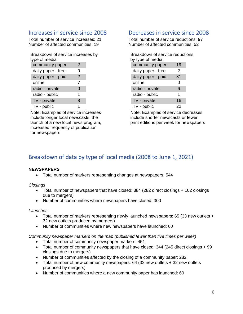### <span id="page-6-0"></span>Increases in service since 2008

Total number of service increases: 21 Number of affected communities: 19

| Breakdown of service increases by<br>type of media: |   |  |
|-----------------------------------------------------|---|--|
| community paper                                     | 2 |  |
| daily paper - free                                  | O |  |
| daily paper - paid                                  | 2 |  |
| online                                              | 7 |  |
| radio - private                                     | 0 |  |
| radio - public                                      | 1 |  |
| TV - private                                        | 8 |  |
| TV - public                                         |   |  |

Note: Examples of service increases include longer local newscasts, the launch of a new local news program, increased frequency of publication for newspapers

### <span id="page-6-1"></span>Decreases in service since 2008

Total number of service reductions: 97 Number of affected communities: 52

| Breakdown of service reductions |    |  |  |  |
|---------------------------------|----|--|--|--|
| by type of media:               |    |  |  |  |
| community paper                 | 19 |  |  |  |
| daily paper - free              | 2  |  |  |  |
| daily paper - paid              | 31 |  |  |  |
| online                          | Ω  |  |  |  |
| radio - private                 | 6  |  |  |  |
| radio - public                  | 1  |  |  |  |
| TV - private                    | 16 |  |  |  |
| TV - public                     | 22 |  |  |  |

Note: Examples of service decreases include shorter newscasts or fewer print editions per week for newspapers

## <span id="page-6-2"></span>Breakdown of data by type of local media (2008 to June 1, 2021)

#### **NEWSPAPERS**

• Total number of markers representing changes at newspapers: 544

*Closings*

- Total number of newspapers that have closed: 384 (282 direct closings + 102 closings due to mergers)
- Number of communities where newspapers have closed: 300

#### *Launches*

- Total number of markers representing newly launched newspapers: 65 (33 new outlets + 32 new outlets produced by mergers)
- Number of communities where new newspapers have launched: 60

*Community newspaper markers on the map (published fewer than five times per week)* 

- Total number of community newspaper markers: 451
- Total number of community newspapers that have closed: 344 (245 direct closings + 99 closings due to mergers)
- Number of communities affected by the closing of a community paper: 282
- Total number of new community newspapers: 64 (32 new outlets + 32 new outlets produced by mergers)
- Number of communities where a new community paper has launched: 60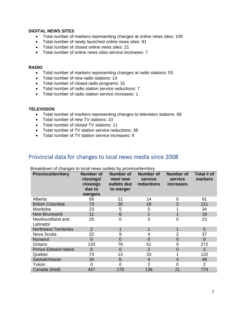#### **DIGITAL NEWS SITES**

- Total number of markers representing changes at online news sites: 109
- Total number of newly launched online news sites: 81
- Total number of closed online news sites: 21
- Total number of online news sites service increases: 7

#### **RADIO**

- Total number of markers representing changes at radio stations: 53
- Total number of new radio stations: 14
- Total number of closed radio programs: 31
- Total number of radio station service reductions: 7
- Total number of radio station service increases: 1

#### **TELEVISION**

- Total number of markers representing changes to television stations: 68
- Total number of new TV stations: 10
- Total number of closed TV stations: 11
- Total number of TV station service reductions: 38
- Total number of TV station service increases: 9

#### <span id="page-7-0"></span>Provincial data for changes to local news media since 2008

| <b>Province/territory</b>    | <b>Number of</b><br>closings/<br>closings<br>due to<br>mergers | <b>Number of</b><br>new/new<br>outlets due<br>to merger | <b>Number of</b><br>service<br>reductions | <b>Number of</b><br>service<br><b>increases</b> | Total # of<br>markers |
|------------------------------|----------------------------------------------------------------|---------------------------------------------------------|-------------------------------------------|-------------------------------------------------|-----------------------|
| Alberta                      | 56                                                             | 21                                                      | 14                                        | 0                                               | 91                    |
| <b>British Columbia</b>      | 73                                                             | 30                                                      | 16                                        | $\overline{2}$                                  | 121                   |
| Manitoba                     | 23                                                             | 5                                                       | 5                                         |                                                 | 34                    |
| <b>New Brunswick</b>         | 11                                                             | 6                                                       |                                           | 1                                               | 19                    |
| Newfoundland and<br>Labrador | 20                                                             | $\overline{0}$                                          | 3                                         | $\overline{0}$                                  | 23                    |
| <b>Northwest Territories</b> | $\overline{2}$                                                 |                                                         |                                           | 1                                               | 5                     |
| Nova Scotia                  | 22                                                             | 9                                                       | 4                                         | $\overline{2}$                                  | 37                    |
| Nunavut                      | $\overline{0}$                                                 | 0                                                       | $\Omega$                                  | 0                                               | $\overline{0}$        |
| Ontario                      | 133                                                            | 79                                                      | 51                                        | 9                                               | 272                   |
| <b>Prince Edward Island</b>  | $\overline{0}$                                                 | $\Omega$                                                | $\overline{2}$                            | $\overline{0}$                                  | $\overline{2}$        |
| Quebec                       | 73                                                             | 13                                                      | 33                                        |                                                 | 120                   |
| Saskatchewan                 | 34                                                             | 6                                                       | $\overline{4}$                            | $\overline{4}$                                  | 48                    |
| Yukon                        | 0                                                              | 0                                                       | 2                                         | 0                                               | $\overline{2}$        |
| Canada (total)               | 447                                                            | 170                                                     | 136                                       | 21                                              | 774                   |

Breakdown of changes to local news outlets by province/territory